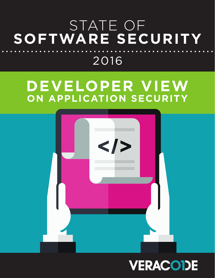## STATE OF **SOFTWARE SECURITY** 2016

## **DEVELOPER VIEW ON APPLICATION SECURITY**



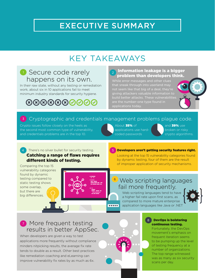### EXECUTIVE SUMMARY

### KEY TAKEAWAYS

### **1** Secure code rarely happens on its own.

In their raw state, without any testing or remediation work, about six in 10 applications fail to meet minimum industry standards for security hygiene.

### $\textcircled{\hbox{\footnotesize$88090000}}$

### Information leakage is a bigger problem than developers think.

While error messages and other clues that sneak through into userland may not seem like that big of a deal, they're giving attackers valuable information to are the number-one type found in applications today.



### <sup>3</sup> Cryptographic and credentials management problems plague code.

Crypto issues follow closely on the heels as the second most common type of vulnerability, and credentials problems are in the top 10.

About 35% of applications use hardcoded passwords

and 39% use broken or risky crypto algorithms.

#### 4 There's no silver bullet for security testing. Catching a range of flaws requires different kinds of testing.

Comparing the top 15 vulnerability categories found by dynamic testing compared to static testing shows some overlap, but there are big differences.



#### 5 Developers aren't getting security features right.

Looking at the top 15 vulnerability categories found by dynamic testing, four of them are the result of improper application of security mechanisms.

### Web scripting languages fail more frequently.

Web scripting languages tend to have a higher fail rate upon first scans, as compared to more mature enterprise application languages like Java or .NET



### **7** More frequent testing results in better AppSec.

When developers are given a way to test applications more frequently without compliance minders nitpicking results, the average fix rate tends to double as a result. Other best practices like remediation coaching and eLearning can improve vulnerability fix rates by as much as 6x.



 $| \bullet \bullet \bullet \bullet \bullet |$ 

#### <sup>8</sup> DevOps is bolstering continuous testing.

Fortunately, the DevOps movement's emphasis on frequent iteration seems to be pumping up the level of testing frequency at a number of organizations. The top range witnessed was as many as six security scans per day.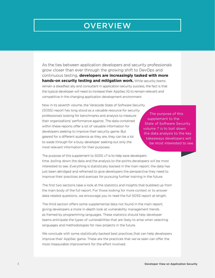### **OVERVIEW**

As the ties between application developers and security professionals grow closer than ever through the growing shift to DevOps and continuous testing, **developers are increasingly tasked with more hands-on security testing and mitigation work.** While security teams remain a steadfast ally and consultant in application security success, the fact is that the typical developer will need to increase their AppSec IQ to remain relevant and competitive in the changing application development environment.

Now in its seventh volume, the Veracode State of Software Security (SOSS) report has long stood as a valuable resource for security professionals looking for benchmarks and analysis to measure their organizations' performance against. The data contained within these reports offer a lot of valuable information for developers seeking to improve their security game. But geared for a different audience as they are, they can be a lot to wade through for a busy developer seeking out only the most relevant information for their purposes.

The purpose of this supplement to the State of Software Security volume 7 is to boil down the data analysis to the key takeaways developers will be most interested to see.

The purpose of this supplement to SOSS v7 is to help save developers time, boiling down the data and the analysis to the points developers will be most interested to see. Everything is statistically backed in the main report; the data has just been abridged and reframed to give developers the perspective they need to improve their practices and avenues for pursuing further training in the future.

The first two sections take a look at the statistics and insights that bubbled up from the main body of the full report. For those looking for more context or to answer data-related questions, we encourage you to read the full SOSS report at length.

The third section offers some supplemental data not found in the main report, giving developers a more in-depth look at vulnerability management trends as framed by programming languages. These statistics should help developer teams anticipate the types of vulnerabilities that are likely to arise when selecting languages and methodologies for new projects in the future.

We conclude with some statistically backed best practices that can help developers improve their AppSec game. These are the practices that we've seen can offer the most measurable improvement for the effort involved.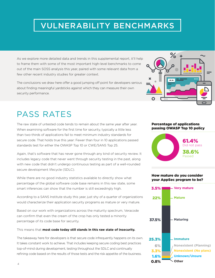### VULNERABILITY BENCHMARKS

As we explore more detailed data and trends in this supplemental report, it'll help to frame them with some of the most important high-level benchmarks to come out of the main SOSS analysis this year, paired with some relevant data from a few other recent industry studies for greater context.

The conclusions we draw here offer a good jumping off point for developers serious about finding meaningful yardsticks against which they can measure their own security performance.

### PASS RATES

The raw state of untested code tends to remain about the same year after year. When examining software for the first time for security, typically a little less than two-thirds of applications fail to meet minimum industry standards for secure code. That holds true this year: Fewer than four in 10 applications passed standards test for either the OWASP Top 10 or CWE/SANS Top 25.

Again, that's software that has never gone through any kind of security review. It includes legacy code that never went through security testing in the past, along with new code that didn't undergo continuous testing as part of a well-rounded secure development lifecycle (SDLC).

While there are no good industry statistics available to directly show what percentage of the global software code base remains in this raw state, some smart inferences can show that the number is still exceedingly high.

According to a SANS Institute study this year, just shy of a quarter of organizations would characterize their application security programs as mature or very mature.

Based on our work with organizations across the maturity spectrum, Veracode can confirm that even the cream of the crop has only tested a minority percentage of its code base for security.

This means that **most code today still stands in this raw state of insecurity.**

The takeaway here for developers is that secure code infrequently happens on its own. It takes constant work to achieve. That includes keeping secure coding best practices top-of-mind during development, testing throughout the SDLC and continually refining code based on the results of those tests and the risk appetite of the business.

#### Percentage of applications passing OWASP Top 10 policy



How mature do you consider



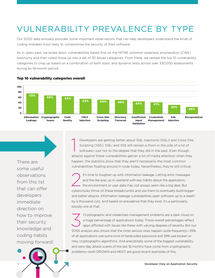### VULNERABILITY PREVALENCE BY TYPE

Our SOSS data annually provides some important observations that can help developers understand the kinds of coding mistakes most likely to compromise the security of their software.

As in years past, we broke down vulnerabilities based first on the MITRE common weakness enumeration (CWE) taxonomy and then rolled those up into a set of 30 broad categories. From there, we ranked the top 10 vulnerability categories to crop up based on a combination of both static and dynamic tests across over 330,000 assessments during an 18-month period.



Top 10 vulnerability categories overall

There are some useful observations from this list that can offer developers immediate direction on how to improve their security knowledge and coding habits moving forward: 1 Developers are getting better about SQL Injections (SQLi) and Cross-Site Scripting (XSS). SQLi and XSS still remain a thorn in the side of a lot of software—just not to the degree that they did in the past. Even though attacks against these vulnerabilities garner a lot of media attention when they happen, the statistics show that they aren't necessarily the most common vulnerabilities floating around in code today. Nevertheless, they're still critical.

It's time to toughen up with information leakage. Letting error messages<br>and the like pop up in userland with key tidbits about the application,<br>the environment or user data may not always seem like a big deal. But and the like pop up in userland with key tidbits about the application, cybercrooks thrive on these breadcrumbs and use them to eventually build bigger and better attacks. Information leakage vulnerabilities open software up to a death by a thousand cuts. And based on prevalence that they exist, it's a particularly bloody one at that.

Cryptographic and credentials management problems are a dark cloud on<br>a huge percentage of applications today. Those overall percentages reflect<br>apps afflicted with issues like these with varying degrees of severity. But o a huge percentage of applications today. Those overall percentages reflect apps afflicted with issues like these with varying degrees of severity. But our SOSS analysis also shows that the most serious ones happen quite frequently—35% of all applications use some kind of hardcoded password and 39% use broken or risky cryptographic algorithms. And anecdotally some of the biggest vulnerability and zero-day attack scares of the last 18 months have come from cryptographic problems—both [DROWN](https://drownattack.com/) and [HEIST](https://www.blackhat.com/docs/us-16/materials/us-16-VanGoethem-HEIST-HTTP-Encrypted-Information-Can-Be-Stolen-Through-TCP-Windows-wp.pdf) are good recent examples of this.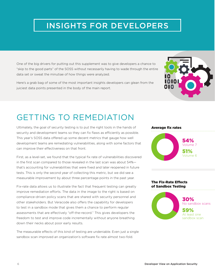### INSIGHTS FOR DEVELOPERS

One of the big drivers for putting out this supplement was to give developers a chance to "skip to the good parts" of the SOSS without necessarily having to wade through the entire data set or sweat the minutiae of how things were analyzed.

Here's a grab bag of some of the most important insights developers can glean from the juiciest data points presented in the body of the main report.



### GETTING TO REMEDIATION

Ultimately, the goal of security testing is to put the right tools in the hands of security and development teams so they can fix flaws as efficiently as possible. This year's SOSS data offered up some decent metrics that gauge how well development teams are remediating vulnerabilities, along with some factors that can improve their effectiveness on that front.

First, as a level-set, we found that the typical fix rate of vulnerabilities discovered in the first scan compared to those revealed in the last scan was about 54% that's accounting for vulnerabilities that were fixed and later reopened in future tests. This is only the second year of collecting this metric, but we did see a measurable improvement by about three percentage points in the past year.

Fix-rate data allows us to illustrate the fact that frequent testing can greatly improve remediation efforts. The data in the image to the right is based on compliance-driven policy scans that are shared with security personnel and other stakeholders. But Veracode also offers the capability for developers to test in a sandbox mode that gives them a chance to perform regular assessments that are effectively "off-the-record." This gives developers the freedom to test and improve code incrementally without anyone breathing down their necks about poor early results.

The measurable effects of this kind of testing are undeniable. Even just a single sandbox scan improved an organization's software fix rate almost two-fold.



#### The Fix-Rate Effects of Sandbox Testing

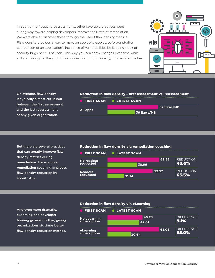In addition to frequent reassessments, other favorable practices went a long way toward helping developers improve their rate of remediation. We were able to discover these through the use of flaw density metrics. Flaw density provides a way to make an apples-to-apples, before-and-after comparison of an application's incidence of vulnerabilities by keeping track of security bugs per MB of code. This way you can show changes over time while still accounting for the addition or subtraction of functionality, libraries and the like.



On average, flaw density is typically almost cut in half between the first assessment and the last reassessment at any given organization.

#### Reduction in flaw density - first assessment vs. reassessment



But there are several practices that can greatly improve flaw density metrics during remediation. For example, remediation coaching improves flaw density reduction by about 1.45x.

#### Reduction in flaw density via remediation coaching



And even more dramatic, eLearning and developer training go even further, giving organizations six times better flaw density reduction metrics.

#### Reduction in flaw density via eLearning

|                                     | <b>FIRST SCAN O LATEST SCAN</b> |       |                               |
|-------------------------------------|---------------------------------|-------|-------------------------------|
| <b>No eLearning</b><br>subscription | 46.23<br>42.01                  |       | <b>DIFFERENCE</b><br>$ 9.1\%$ |
| eLearning<br>subscription           | 30.64                           | 68.06 | <b>DIFFERENCE</b><br>55.0%    |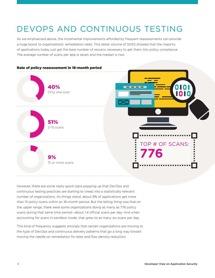### DEVOPS AND CONTINUOUS TESTING

As we emphasized above, the incremental improvements afforded by frequent reassessments can provide a huge boost to organizations' remediation rates. This latest volume of SOSS showed that the majority of applications today just get the bare number of rescans necessary to get them into policy compliance. The average number of scans per app is seven and the median is two.



However, there are some really good signs popping up that DevOps and continuous testing practices are starting to creep into a statistically relevant number of organizations. As things stand, about 9% of applications get more than 15 policy scans within an 18-month period. But the telling thing was that on the upper range, there were some organizations doing as many as 776 policy scans during that same time period—about 1.4 official scans per day. And when accounting for scans in sandbox mode, that grew to as many six scans per day.

This kind of frequency suggests strongly that certain organizations are moving to the type of DevOps and continuous delivery patterns that go a long way toward moving the needle on remediation fix rates and flaw density reduction.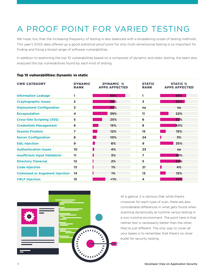### A PROOF POINT FOR VARIED TESTING

We hope, too, that the increasing frequency of testing is also balanced with a broadening scope of testing methods. This year's SOSS data offered up a good statistical proof point for why multi-dimensional testing is so important for finding and fixing a broad range of software vulnerabilities.

In addition to examining the top 10 vulnerabilities based on a composite of dynamic and static testing, the team also analyzed the top vulnerabilities found by each kind of testing.

| <b>CWE CATEGORY</b>                  | <b>DYNAMIC</b><br><b>RANK</b> | <b>DYNAMIC</b><br>$\frac{9}{6}$<br><b>APPS AFFECTED</b> | <b>STATIC</b><br><b>RANK</b> | <b>STATIC %</b><br><b>APPS AFFECTED</b> |
|--------------------------------------|-------------------------------|---------------------------------------------------------|------------------------------|-----------------------------------------|
| <b>Information Leakage</b>           | 1                             | 86%                                                     | 1                            | 69%                                     |
| <b>Cryptographic Issues</b>          | $\overline{2}$                | 58%                                                     | 3                            | 65%                                     |
| <b>Deployment Configuration</b>      | 3                             | <b>57%</b>                                              | na                           | na                                      |
| <b>Encapsulation</b>                 | 4                             | 39%                                                     | 11                           | 22%                                     |
| <b>Cross-Site Scripting (XSS)</b>    | 5                             | 25%                                                     | 6                            | 52%                                     |
| <b>Credentials Management</b>        | 6                             | 15%                                                     | 8                            | 43%                                     |
| <b>Session Fixation</b>              | 7                             | 12%                                                     | 15                           | 15%                                     |
| <b>Server Configuration</b>          | 8                             | 10%                                                     | 24                           | 3%                                      |
| <b>SQL Injection</b>                 | 9                             | 6%                                                      | 9                            | 35%                                     |
| <b>Authentication Issues</b>         | 10                            | 4%                                                      | 23                           | na                                      |
| <b>Insufficient Input Validation</b> | 11                            | 3%                                                      | 7                            | 48%                                     |
| <b>Directory Traversal</b>           | 12                            | 2%                                                      | 5                            | 54%                                     |
| <b>Code Injection</b>                | 13                            | 1%                                                      | 21                           | 4%                                      |
| <b>Command or Argument Injection</b> | 14                            | 1%                                                      | 13                           | 15%                                     |
| <b>CRLF Injection</b>                | 15                            | $1\%$                                                   | 4                            | 59%                                     |

#### Top 15 vulnerabilities: Dynamic vs static



At a glance, it is obvious that while there's crossover for each type of scan, there are also considerable differences in what gets found when scanning dynamically at runtime versus testing in a non-runtime environment. The point here is that neither test is necessarily better than the other, they're just different. The only way to cover all your bases is to remember that there's no silver bullet for security testing.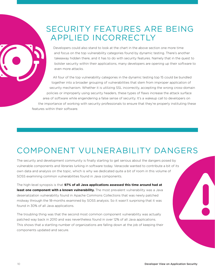### SECURITY FEATURES ARE BEING APPLIED INCORRECTLY

Developers could also stand to look at the chart in the above section one more time and focus on the top vulnerability categories found by dynamic testing. There's another takeaway hidden there, and it has to do with security features. Namely that in the quest to bolster security within their applications, many developers are opening up their software to even more attacks.

All four of the top vulnerability categories in the dynamic testing top 15 could be bundled together into a broader grouping of vulnerabilities that stem from improper application of security mechanism. Whether it is utilizing SSL incorrectly, accepting the wrong cross-domain policies or improperly using security headers, these types of flaws increase the attack surface area of software while engendering a false sense of security. It's a wakeup call to developers on the importance of working with security professionals to ensure that they're properly instituting these features within their software.

### COMPONENT VULNERABILITY DANGERS

The security and development community is finally starting to get serious about the dangers posed by vulnerable components and libraries lurking in software today. Veracode wanted to contribute a bit of its own data and analysis on the topic, which is why we dedicated quite a bit of room in this volume of SOSS examining common vulnerabilities found in Java components.

The high-level synopsis is that **97% of all Java applications assessed this time around had at**  least one component with a known vulnerability. The most prevalent vulnerability was a Java deserialization vulnerability found in Apache Commons Collections that was newly patched midway through the 18-months examined by SOSS analysis. So it wasn't surprising that it was found in 30% of all Java applications.

The troubling thing was that the second most common component vulnerability was actually patched way back in 2010 and was nevertheless found in over 12% of all Java applications. This shows that a startling number of organizations are falling down at the job of keeping their components updated and secure.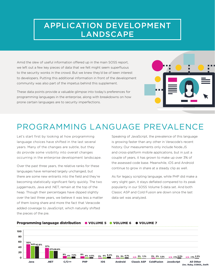### APPLICATION DEVELOPMENT **LANDSCAPE**

Amid the slew of useful information offered up in the main SOSS report, we left out a few key pieces of data that we felt might seem superfluous to the security wonks in the crowd. But we knew they'd be of keen interest to developers. Putting this additional information in front of the development community was also part of the impetus behind this supplement.

These data points provide a valuable glimpse into today's preferences for programming languages in the enterprise, along with breakdowns on how prone certain languages are to security imperfections.



### PROGRAMMING LANGUAGE PREVALENCE

Let's start first by looking at how programming language choices have shifted in the last several years. Many of the changes are subtle, but they do provide some visibility into overall changes occurring in the enterprise development landscape.

Over the past three years, the relative ranks for these languages have remained largely unchanged, but there are some new entrants into the field and they're becoming statistically significant fairly quickly. The two juggernauts, Java and .NET, remain at the top of the heap. Though their percentages have dipped slightly over the last three years, we believe it was less a matter of them losing share and more the fact that Veracode added coverage to JavaScript, which naturally shifted the pieces of the pie.

Speaking of JavaScript, the prevalence of this language is growing faster than any other in Veracode's recent history. Our measurements only include Node.JS and cross-platform mobile applications, but in just a couple of years, it has grown to make up over 3% of the assessed code base. Meanwhile, iOS and Android continue to grow in share at a steady clip as well.

As for legacy scripting language, while PHP did make a very slight gain, it stays deflated compared to its peak popularity in our SOSS Volume 5 data set. And both Classic ASP and Cold Fusion are down since the last data set was analyzed.

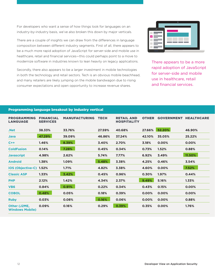For developers who want a sense of how things look for languages on an industry-by-industry basis, we've also broken this down by major verticals.

There are a couple of insights we can draw from the differences in language composition between different industry segments. First of all, there appears to be a much more rapid adoption of JavaScript for server-side and mobile use in healthcare, retail and financial services—this could perhaps point to a move to modernize software in industries known to lean heavily on legacy applications.

Secondly, there also appears to be a larger investment in mobile technologies in both the technology and retail sectors. Tech is an obvious mobile beachhead, and many retailers are likely jumping on the mobile bandwagon due to rising consumer expectations and open opportunity to increase revenue shares.



There appears to be a more rapid adoption of JavaScript for server-side and mobile use in healthcare, retail and financial services.

#### Programming language breakout by industry vertical

| <b>PROGRAMMING</b><br><b>LANGUAGE</b>  | <b>FINANCIAL</b><br><b>SERVICES</b> | <b>MANUFACTURING</b> | <b>TECH</b> | <b>RETAIL AND</b><br><b>HOSPITALITY</b> | <b>OTHER</b> | <b>GOVERNMENT</b> | <b>HEALTHCARE</b> |
|----------------------------------------|-------------------------------------|----------------------|-------------|-----------------------------------------|--------------|-------------------|-------------------|
| .Net                                   | 38.33%                              | 33.76%               | 27.59%      | 40.68%                                  | 27.66%       | 52.20%            | 46.90%            |
| <b>Java</b>                            | 47.29%                              | 39.09%               | 46.86%      | 37.24%                                  | 42.10%       | 35.05%            | 25.22%            |
| $C++$                                  | 1.46%                               | 8.39%                | 3.40%       | 2.70%                                   | 3.18%        | 0.00%             | 0.00%             |
| <b>ColdFusion</b>                      | 0.14%                               | 7.28%                | 0.45%       | 0.34%                                   | 0.73%        | 1.52%             | 0.88%             |
| <b>Javascript</b>                      | 4.98%                               | 2.62%                | 5.74%       | 7.77%                                   | 6.92%        | 3.49%             | 11.50%            |
| <b>Android</b>                         | 1.38%                               | 1.09%                | 5.48%       | 3.38%                                   | 4.25%        | 0.46%             | 3.54%             |
| iOS (Objective-C) 1.52%                |                                     | 1.71%                | 4.82%       | 3.38%                                   | 4.60%        | 0.00%             | 7.52%             |
| <b>Classic ASP</b>                     | 1.33%                               | 3.42%                | 0.45%       | 0.96%                                   | 0.30%        | 1.97%             | 0.44%             |
| <b>PHP</b>                             | 2.12%                               | 1.42%                | 4.34%       | 2.37%                                   | 9.49%        | 5.16%             | 1.33%             |
| <b>VB6</b>                             | 0.84%                               | 0.91%                | 0.22%       | 0.34%                                   | 0.43%        | 0.15%             | 0.00%             |
| <b>COBOL</b>                           | 0.48%                               | 0.05%                | 0.18%       | 0.39%                                   | 0.00%        | 0.00%             | 0.00%             |
| <b>Ruby</b>                            | 0.03%                               | 0.08%                | 0.16%       | 0.06%                                   | 0.00%        | 0.00%             | 0.88%             |
| Other (J2ME,<br><b>Windows Mobile)</b> | 0.09%                               | 0.16%                | 0.29%       | 0.39%                                   | 0.35%        | 0.00%             | 1.76%             |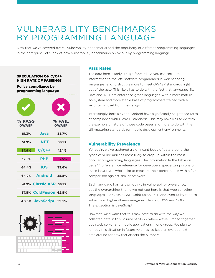### VULNERABILITY BENCHMARKS BY PROGRAMMING LANGUAGE

Now that we've covered overall vulnerability benchmarks and the popularity of different programming languages in the enterprise, let's look at how vulnerability benchmarks break out by programming language.

#### SPECULATION ON C/C++ HIGH RATE OF PASSING?

Policy compliance by programming language

|                        |                         | X                      |
|------------------------|-------------------------|------------------------|
| % PASS<br><b>OWASP</b> |                         | % FAIL<br><b>OWASP</b> |
| 61.3%                  | Java                    | 38.7%                  |
| 61.9%                  | .NET                    | 38.1%                  |
| 87.9%                  | $C/C++$                 | 12.1%                  |
| 32.5%                  | <b>PHP</b>              | 67.5%                  |
| 64.4%                  | <b>iOS</b>              | 35.6%                  |
|                        | 64.2% Android 35.8%     |                        |
|                        | 41.9% Classic ASP 58.1% |                        |
|                        | 37.5% ColdFusion 62.5%  |                        |
|                        | 40.5% JavaScript 59.5%  |                        |



#### **Pass Rates**

The data here is fairly straightforward. As you can see in the information to the left, software programmed in web scripting languages tend to struggle more to meet OWASP standards right out of the gate. This likely has to do with the fact that languages like Java and .NET are enterprise-grade languages, with a more mature ecosystem and more stable base of programmers trained with a security mindset from the get-go.

Interestingly, both iOS and Android have significantly heightened rates of compliance with OWASP standards. This may have less to do with the exemplary nature of those code bases and more to do with the still-maturing standards for mobile development environments.

#### **Vulnerability Prevalence**

Yet again, we've gathered a significant body of data around the types of vulnerabilities most likely to crop up within the most popular programming languages. The information In the table on page 14 offers a nice reference for developers specializing in one of these languages who'd like to measure their performance with a fair comparison against similar software.

Each language has its own quirks in vulnerability prevalence, but the overarching theme we noticed here is that web scripting languages like Classic ASP, ColdFusion, PHP and even Ruby tend to suffer from higher-than-average incidence of XSS and SQLi. The exception is JavaScript.

However, we'd warn that this may have to do with the way we collected data in this volume of SOSS, where we've lumped together both web server and mobile applications in one group. We plan to remedy this situation in future volumes, so keep an eye out next time around for how that affects the numbers.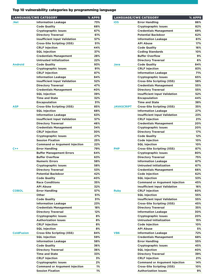#### Top 10 vulnerability categories by programming language

|                   | LANGUAGE/CWE CATEGORY                | % APPS |
|-------------------|--------------------------------------|--------|
| .Net              | <b>Information Leakage</b>           | 73%    |
|                   | <b>Code Quality</b>                  | 68%    |
|                   | <b>Cryptographic Issues</b>          | 67%    |
|                   | <b>Directory Traversal</b>           | 61%    |
|                   | <b>Insufficient Input Validation</b> | 57%    |
|                   |                                      |        |
|                   | <b>Cross-Site Scripting (XSS)</b>    | 51%    |
|                   | <b>CRLF Injection</b>                | 44%    |
|                   | <b>SQL Injection</b>                 | 37%    |
|                   | <b>Credentials Management</b>        | 28%    |
|                   | <b>Untrusted Initialization</b>      | 22%    |
| <b>Android</b>    | <b>Code Quality</b>                  | 93%    |
|                   | <b>Cryptographic Issues</b>          | 91%    |
|                   | <b>CRLF Injection</b>                | 87%    |
|                   | <b>Information Leakage</b>           | 84%    |
|                   | <b>Insufficient Input Validation</b> | 52%    |
|                   | <b>Directory Traversal</b>           | 47%    |
|                   |                                      |        |
|                   | <b>Credentials Management</b>        | 40%    |
|                   | <b>SQL Injection</b>                 | 39%    |
|                   | <b>Time and State</b>                | 32%    |
|                   | <b>Encapsulation</b>                 | 31%    |
| <b>ASP</b>        | <b>Cross-Site Scripting (XSS)</b>    | 85%    |
|                   | <b>SQL Injection</b>                 | 68%    |
|                   | <b>Information Leakage</b>           | 63%    |
|                   | <b>Insufficient Input Validation</b> | 57%    |
|                   | <b>Directory Traversal</b>           | 46%    |
|                   |                                      |        |
|                   | <b>Credentials Management</b>        | 34%    |
|                   | <b>CRLF Injection</b>                | 30%    |
|                   | <b>Cryptographic Issues</b>          | 27%    |
|                   | <b>Session Fixation</b>              | 25%    |
|                   | <b>Command or Argument Injection</b> | 22%    |
| $C++$             | <b>Error Handling</b>                | 79%    |
|                   | <b>Buffer Management Errors</b>      | 64%    |
|                   | <b>Buffer Overflow</b>               | 63%    |
|                   | <b>Numeric Errors</b>                | 58%    |
|                   | <b>Cryptographic Issues</b>          | 58%    |
|                   |                                      |        |
|                   | <b>Directory Traversal</b>           | 53%    |
|                   | <b>Potential Backdoor</b>            | 42%    |
|                   | <b>Code Quality</b>                  | 40%    |
|                   | <b>Race Conditions</b>               | 35%    |
|                   | <b>API Abuse</b>                     | 32%    |
| <b>COBOL</b>      | <b>Error Handling</b>                | 57%    |
|                   | Other                                | 51%    |
|                   | <b>Code Quality</b>                  | 31%    |
|                   | <b>Information Leakage</b>           | 23%    |
|                   | <b>Credentials Management</b>        | 18%    |
|                   | <b>Directory Traversal</b>           | 12%    |
|                   |                                      |        |
|                   | <b>Cryptographic Issues</b>          | 8%     |
|                   | <b>Authorization Issues</b>          | 8%     |
|                   | <b>CRLF Injection</b>                | 8%     |
|                   | <b>SQL Injection</b>                 | 8%     |
| <b>ColdFusion</b> | <b>Cross-Site Scripting (XSS)</b>    | 84%    |
|                   | <b>SQL Injection</b>                 | 59%    |
|                   | <b>Information Leakage</b>           | 58%    |
|                   | <b>Code Quality</b>                  | 36%    |
|                   | <b>Directory Traversal</b>           | 36%    |
|                   | <b>Time and State</b>                |        |
|                   |                                      | 33%    |
|                   | <b>CRLF Injection</b>                | 3%     |
|                   | <b>Cryptographic Issues</b>          | 2%     |
|                   | <b>Command or Argument Injection</b> | 1%     |
|                   | <b>Session Fixation</b>              | 1%     |

|                   | <b>LANGUAGE/CWE CATEGORY</b>                              | % APPS     |                   | <b>LANGUAGE/CWE CATEGORY</b>                  | % APPS     |
|-------------------|-----------------------------------------------------------|------------|-------------------|-----------------------------------------------|------------|
| .Net              | <b>Information Leakage</b>                                | 73%        | iOS               | <b>Error Handling</b>                         | 86%        |
|                   | <b>Code Quality</b>                                       | 68%        |                   | <b>Cryptographic Issues</b>                   | 82%        |
|                   | <b>Cryptographic Issues</b>                               | 67%        |                   | <b>Credentials Management</b>                 | 69%        |
|                   | <b>Directory Traversal</b>                                | 61%        |                   | <b>Potential Backdoor</b>                     | 62%        |
|                   | <b>Insufficient Input Validation</b>                      | 57%        |                   | <b>Information Leakage</b>                    | 61%        |
|                   | <b>Cross-Site Scripting (XSS)</b>                         | 51%        |                   | <b>API Abuse</b>                              | 17%        |
|                   | <b>CRLF Injection</b>                                     | 44%        |                   | <b>Code Quality</b>                           | 16%        |
|                   | <b>SQL Injection</b>                                      | 37%        |                   | <b>Coding Standards</b>                       | 10%        |
|                   | <b>Credentials Management</b>                             | 28%        |                   | <b>Buffer Overflow</b>                        | 9%         |
|                   | <b>Untrusted Initialization</b>                           | 22%        |                   | <b>Directory Traversal</b>                    | 6%         |
| <b>Android</b>    | <b>Code Quality</b>                                       | 93%        | <b>Java</b>       | <b>Code Quality</b>                           | 84%        |
|                   | <b>Cryptographic Issues</b>                               | 91%        |                   | <b>CRLF Injection</b>                         | 83%        |
|                   | <b>CRLF Injection</b>                                     | 87%        |                   | <b>Information Leakage</b>                    | 71%        |
|                   | <b>Information Leakage</b>                                | 84%        |                   | <b>Cryptographic Issues</b>                   | 65%        |
|                   | <b>Insufficient Input Validation</b>                      | 52%        |                   | <b>Cross-Site Scripting (XSS)</b>             | 58%        |
|                   | <b>Directory Traversal</b>                                | 47%        |                   | <b>Credentials Management</b>                 | 55%        |
|                   | <b>Credentials Management</b>                             | 40%        |                   | <b>Directory Traversal</b>                    | 55%        |
|                   | <b>SQL Injection</b>                                      | 39%        |                   | <b>Insufficient Input Validation</b>          | 52%        |
|                   | <b>Time and State</b>                                     | 32%        |                   | <b>Encapsulation</b>                          | 44%        |
|                   | <b>Encapsulation</b>                                      | 31%        |                   | <b>Time and State</b>                         | 38%        |
| ASP               | <b>Cross-Site Scripting (XSS)</b>                         | 85%        | <b>JAVASCRIPT</b> | <b>Cross-Site Scripting (XSS)</b>             | 35%        |
|                   | <b>SQL Injection</b>                                      | 68%        |                   | <b>Information Leakage</b>                    | 27%        |
|                   | <b>Information Leakage</b>                                | 63%        |                   | <b>Insufficient Input Validation</b>          | 23%        |
|                   | <b>Insufficient Input Validation</b>                      | 57%        |                   | <b>CRLF Injection</b>                         | 21%        |
|                   | <b>Directory Traversal</b>                                | 46%        |                   | <b>Credentials Management</b>                 | 20%        |
|                   | <b>Credentials Management</b>                             | 34%        |                   | <b>Cryptographic Issues</b>                   | 20%        |
|                   | <b>CRLF Injection</b>                                     | 30%        |                   | <b>Directory Traversal</b>                    | 17%        |
|                   |                                                           | 27%        |                   |                                               | 12%        |
|                   | <b>Cryptographic Issues</b><br><b>Session Fixation</b>    |            |                   | <b>Code Quality</b>                           | 10%        |
|                   |                                                           | 25%<br>22% |                   | <b>Code Injection</b>                         | 10%        |
| $C++$             | <b>Command or Argument Injection</b>                      | 79%        | <b>PHP</b>        | <b>SQL Injection</b>                          | 87%        |
|                   | <b>Error Handling</b>                                     |            |                   | <b>Cross-Site Scripting (XSS)</b>             |            |
|                   | <b>Buffer Management Errors</b><br><b>Buffer Overflow</b> | 64%        |                   | <b>Cryptographic Issues</b>                   | 80%<br>75% |
|                   | <b>Numeric Errors</b>                                     | 63%<br>58% |                   | <b>Directory Traversal</b>                    | 67%        |
|                   |                                                           |            |                   | <b>Information Leakage</b>                    |            |
|                   | <b>Cryptographic Issues</b>                               | 58%<br>53% |                   | <b>Untrusted Initialization</b>               | 67%<br>66% |
|                   | <b>Directory Traversal</b>                                |            |                   | <b>Credentials Management</b>                 |            |
|                   | <b>Potential Backdoor</b>                                 | 42%        |                   | <b>Code Injection</b><br><b>SQL Injection</b> | 62%        |
|                   | <b>Code Quality</b><br><b>Race Conditions</b>             | 40%        |                   | <b>Command or Argument Injection</b>          | 53%        |
|                   |                                                           | 35%        |                   |                                               | 45%        |
|                   | <b>API Abuse</b>                                          | 32%        |                   | <b>Insufficient Input Validation</b>          | 16%        |
| <b>COBOL</b>      | <b>Error Handling</b>                                     | 57%        | <b>Ruby</b>       | <b>CRLF Injection</b>                         | 60%        |
|                   | Other                                                     | 51%        |                   | <b>SQL Injection</b>                          | 55%        |
|                   | <b>Code Quality</b>                                       | 31%        |                   | <b>Insufficient Input Validation</b>          | 55%        |
|                   | <b>Information Leakage</b>                                | 23%        |                   | <b>Cross-Site Scripting (XSS)</b>             | 45%        |
|                   | <b>Credentials Management</b>                             | 18%        |                   | <b>Directory Traversal</b>                    | 35%        |
|                   | <b>Directory Traversal</b>                                | 12%        |                   | <b>Information Leakage</b>                    | 30%        |
|                   | <b>Cryptographic Issues</b>                               | 8%         |                   | <b>Cryptographic Issues</b>                   | 20%        |
|                   | <b>Authorization Issues</b>                               | 8%         |                   | <b>Untrusted Initialization</b>               | 15%        |
|                   | <b>CRLF Injection</b>                                     | 8%         |                   | <b>Code Injection</b>                         | 10%        |
|                   | <b>SQL Injection</b>                                      | 8%         |                   | <b>API Abuse</b>                              | 5%         |
| <b>ColdFusion</b> | <b>Cross-Site Scripting (XSS)</b>                         | 84%        | VB6               | <b>Information Leakage</b>                    | 72%        |
|                   | <b>SQL Injection</b>                                      | 59%        |                   | <b>Credentials Management</b>                 | 68%        |
|                   | <b>Information Leakage</b>                                | 58%        |                   | <b>Error Handling</b>                         | 55%        |
|                   | <b>Code Quality</b>                                       | 36%        |                   | <b>Cryptographic Issues</b>                   | 45%        |
|                   | <b>Directory Traversal</b>                                | 36%        |                   | <b>SQL Injection</b>                          | 40%        |
|                   | <b>Time and State</b>                                     | 33%        |                   | <b>Directory Traversal</b>                    | 39%        |
|                   | <b>CRLF Injection</b>                                     | 3%         |                   | <b>CRLF Injection</b>                         | 21%        |
|                   | <b>Cryptographic Issues</b>                               | 2%         |                   | <b>Command or Argument Injection</b>          | 14%        |
|                   | <b>Command or Argument Injection</b>                      | 1%         |                   | <b>Cross-Site Scripting (XSS)</b>             | 10%        |
|                   | <b>Session Fixation</b>                                   | 1%         |                   | <b>Authorization Issues</b>                   | 9%         |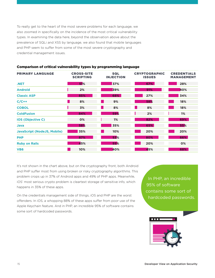To really get to the heart of the most severe problems for each language, we also zoomed in specifically on the incidence of the most critical vulnerability types. In examining the data here, beyond the observation above about the prevalence of SQLi and XSS by language, we also found that mobile languages and PHP seem to suffer from some of the most severe cryptography and credential management issues.

| <b>PRIMARY LANGUAGE</b>            | <b>CROSS-SITE</b><br><b>SCRIPTING</b> | <b>SQL</b><br><b>INJECTION</b> | <b>CRYPTOGRAPHIC</b><br><b>ISSUES</b> | <b>CREDENTIALS</b><br><b>MANAGEMENT</b> |
|------------------------------------|---------------------------------------|--------------------------------|---------------------------------------|-----------------------------------------|
| .NET                               | 51%                                   | 37%                            | 67%                                   | 28%                                     |
| <b>Android</b>                     | 2%                                    | 39%                            | 91%                                   | 40%                                     |
| <b>Classic ASP</b>                 | 85%                                   | 68%                            | 27%                                   | 34%                                     |
| $C/C++$                            | 8%                                    | 9%                             | 58%                                   | 18%                                     |
| <b>COBOL</b>                       | 3%                                    | 8%                             | 8%                                    | 18%                                     |
| <b>ColdFusion</b>                  | 84%                                   | 59%                            | 2%                                    | 1%                                      |
| <b>iOS (Objective C)</b>           | 0%                                    | 1%                             | 82%                                   | 69%                                     |
| Java                               | 58%                                   | 35%                            | 65%                                   | 55%                                     |
| <b>JavaScript (NodeJS, Mobile)</b> | 35%                                   | 10%                            | 20%                                   | 20%                                     |
| <b>PHP</b>                         | 87%                                   | 53%                            | 80%                                   | 66%                                     |
| <b>Ruby on Rails</b>               | 45%                                   | 55%                            | 20%                                   | 0%                                      |
| VB <sub>6</sub>                    | 10%                                   | 40%                            | 45%                                   | 68%                                     |

#### Comparison of critical vulnerability types by programming language

It's not shown in the chart above, but on the cryptography front, both Android and PHP suffer most from using broken or risky cryptography algorithms. This problem crops up in 37% of Android apps and 49% of PHP apps. Meanwhile, iOS' most serious crypto problem is cleartext storage of sensitive info, which happens in 35% of these apps.

On the credentials management side of things, iOS and PHP are the worst offenders. In iOS, a whopping 88% of these apps suffer from poor use of the Apple Keychain feature. And in PHP, an incredible 95% of software contains some sort of hardcoded passwords.

In PHP, an incredible 95% of software contains some sort of hardcoded passwords.

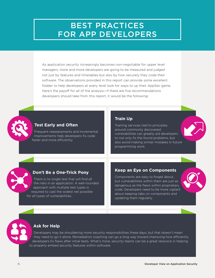### BEST PRACTICES FOR APP DEVELOPERS

As application security increasingly becomes non-negotiable for upper level managers, more and more developers are going to be measured and judged not just by features and timetables but also by how securely they code their software. The observations provided in this report can provide some excellent fodder to help developers at every level look for ways to up their AppSec game. Here's the payoff for all of the analysis—if there are five recommendations developers should take from this report, it would be the following:



#### **Test Early and Often**

Frequent reassessments and incremental improvements help developers fix code faster and more efficiently.

#### **Train Up**

Training services tied to principles around commonly discovered vulnerabilities can greatly aid developers to not only fix the found problems, but also avoid making similar mistakes in future programming work.

#### **Don't Be a One-Trick Pony**

There is no single test that will find all the risks in an application. A well-rounded approach with multiple test types is required to cast the widest net possible for all types of vulnerabilities.

#### **Keep an Eye on Components**

Components are easy to forget about, but vulnerabilities within them are just as dangerous as the flaws within proprietary code. Developers need to be more vigilant about keeping tabs on components and updating them regularly.



#### **Ask for Help**

Developers may be shouldering more security responsibilities these days, but that doesn't mean they need to go it alone. Remediation coaching can go a long way toward improving how efficiently developers fix flaws after initial tests. What's more, security teams can be a great resource in helping to properly embed security features within software.